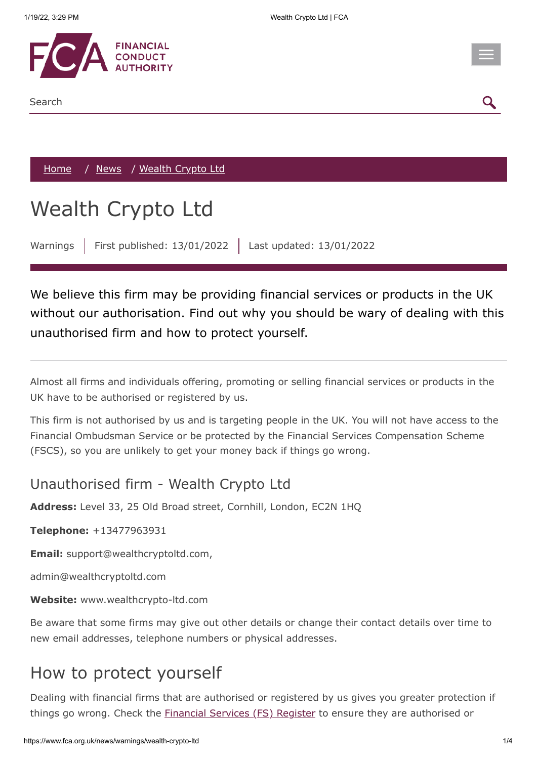

Search



[Home](https://www.fca.org.uk/) / [News](https://www.fca.org.uk/news) / Wealth Crypto Ltd

## Wealth Crypto Ltd

Warnings | First published: 13/01/2022 | Last updated: 13/01/2022

We believe this firm may be providing financial services or products in the UK without our authorisation. Find out why you should be wary of dealing with this unauthorised firm and how to protect yourself.

Almost all firms and individuals offering, promoting or selling financial services or products in the UK have to be authorised or registered by us.

This firm is not authorised by us and is targeting people in the UK. You will not have access to the Financial Ombudsman Service or be protected by the Financial Services Compensation Scheme (FSCS), so you are unlikely to get your money back if things go wrong.

## Unauthorised firm - Wealth Crypto Ltd

**Address:** Level 33, 25 Old Broad street, Cornhill, London, EC2N 1HQ

**Telephone:** +13477963931

**Email:** support@wealthcryptoltd.com,

admin@wealthcryptoltd.com

**Website:** www.wealthcrypto-ltd.com

Be aware that some firms may give out other details or change their contact details over time to new email addresses, telephone numbers or physical addresses.

## How to protect yourself

Dealing with financial firms that are authorised or registered by us gives you greater protection if things go wrong. Check the **Financial Services** (FS) Register to ensure they are authorised or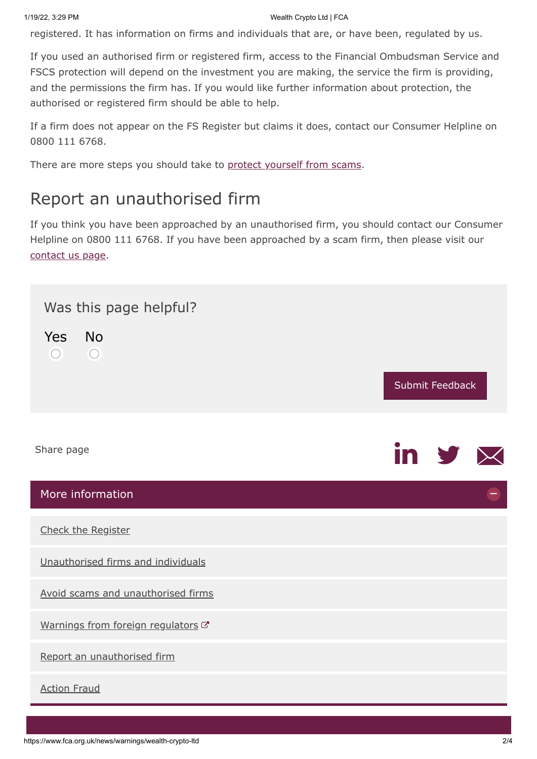registered. It has information on firms and individuals that are, or have been, regulated by us.

If you used an authorised firm or registered firm, access to the Financial Ombudsman Service and FSCS protection will depend on the investment you are making, the service the firm is providing, and the permissions the firm has. If you would like further information about protection, the authorised or registered firm should be able to help.

If a firm does not appear on the FS Register but claims it does, contact our Consumer Helpline on 0800 111 6768.

There are more steps you should take to [protect yourself from scams](https://www.fca.org.uk/consumers/avoid-scams-unauthorised-firms).

## Report an unauthorised firm

If you think you have been approached by an unauthorised firm, you should contact our Consumer Helpline on 0800 111 6768. If you have been approached by a scam firm, then please visit our [contact us page.](https://www.fca.org.uk/contact)

<span id="page-1-0"></span>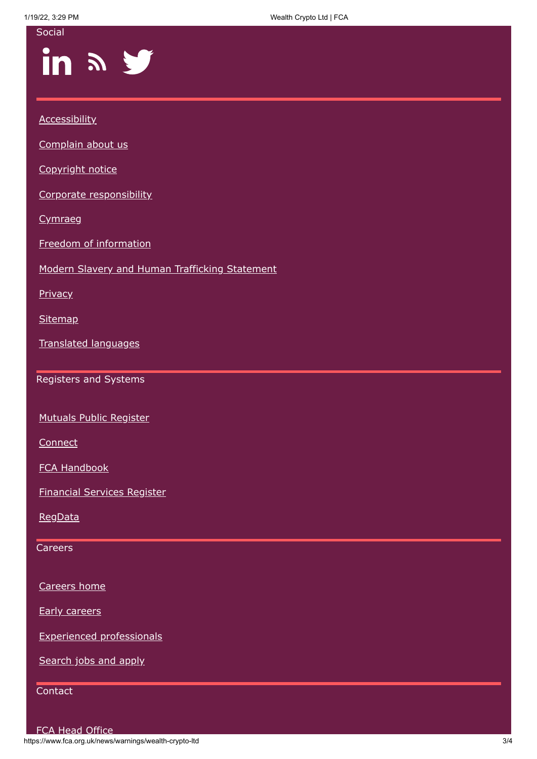1/19/22, 3:29 PM Wealth Crypto Ltd | FCA

| Social                                         |
|------------------------------------------------|
| in a y                                         |
|                                                |
| <b>Accessibility</b>                           |
| Complain about us                              |
| Copyright notice                               |
| Corporate responsibility                       |
| Cymraeg                                        |
| Freedom of information                         |
| Modern Slavery and Human Trafficking Statement |
| <b>Privacy</b>                                 |
| <b>Sitemap</b>                                 |
| <b>Translated languages</b>                    |
| Registers and Systems                          |
| <b>Mutuals Public Register</b>                 |
| Connect                                        |
| <b>FCA Handbook</b>                            |
| <b>Financial Services Register</b>             |
| RegData                                        |
| Careers                                        |
|                                                |
| Careers home                                   |
| <b>Early careers</b>                           |
| <b>Experienced professionals</b>               |
| Search jobs and apply                          |
| Contact                                        |